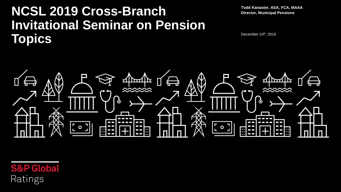## **NCSL 2019 Cross-Branch Invitational Seminar on Pension Topics** December 10th, 2019

**Todd Kanaster, ASA, FCA, MAAA Director, Municipal Pensions**



**S&P Global** Ratings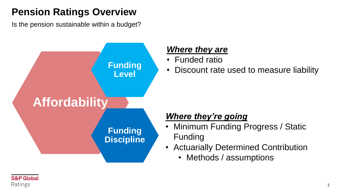## **Pension Ratings Overview**

Is the pension sustainable within a budget?



#### *Where they are*

- Funded ratio
- Discount rate used to measure liability

#### *Where they're going*

- Minimum Funding Progress / Static Funding
- Actuarially Determined Contribution
	- Methods / assumptions

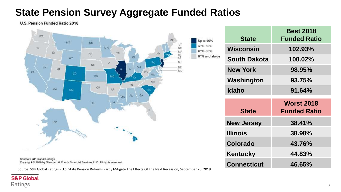### **State Pension Survey Aggregate Funded Ratios**

**U.S. Pension Funded Ratio 2018** 



Source: S&P Global Ratings. Copyright @ 2019 by Standard & Poor's Financial Services LLC. All rights reserved.

Source: S&P Global Ratings - U.S. State Pension Reforms Partly Mitigate The Effects Of The Next Recession, September 26, 2019

| Up to 40%<br>41%-60%<br>61%-80%<br>81% and above | <b>State</b>        | <b>Best 2018</b><br><b>Funded Ratio</b>  |
|--------------------------------------------------|---------------------|------------------------------------------|
|                                                  | <b>Wisconsin</b>    | 102.93%                                  |
|                                                  | <b>South Dakota</b> | 100.02%                                  |
|                                                  | <b>New York</b>     | 98.95%                                   |
|                                                  | Washington          | 93.75%                                   |
|                                                  | <b>Idaho</b>        | 91.64%                                   |
|                                                  |                     |                                          |
|                                                  | <b>State</b>        | <b>Worst 2018</b><br><b>Funded Ratio</b> |
|                                                  | <b>New Jersey</b>   | 38.41%                                   |
|                                                  | <b>Illinois</b>     | 38.98%                                   |
|                                                  | Colorado            | 43.76%                                   |
|                                                  | Kentucky            | 44.83%                                   |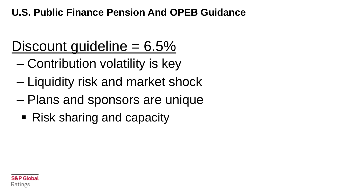## **U.S. Public Finance Pension And OPEB Guidance**

## Discount guideline = 6.5%

- Contribution volatility is key
- Liquidity risk and market shock
- Plans and sponsors are unique
	- Risk sharing and capacity

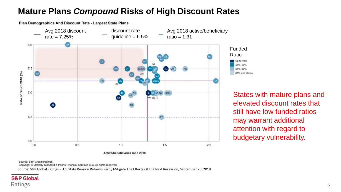#### **Mature Plans** *Compound* **Risks of High Discount Rates**



Plan Demographics And Discount Rate - Largest State Plans

States with mature plans and elevated discount rates that still have low funded ratios may warrant additional attention with regard to budgetary vulnerability.

Source: S&P Global Ratings.

Copyright @ 2019 by Standard & Poor's Financial Services LLC. All rights reserved.

Source: S&P Global Ratings - U.S. State Pension Reforms Partly Mitigate The Effects Of The Next Recession, September 26, 2019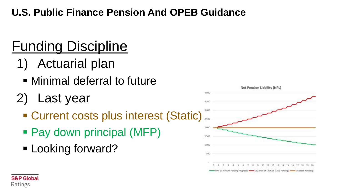## **U.S. Public Finance Pension And OPEB Guidance**

# Funding Discipline

- 1) Actuarial plan
	- Minimal deferral to future
- 2) Last year
	- Current costs plus interest (Static)
	- Pay down principal (MFP)
	- **Looking forward?**



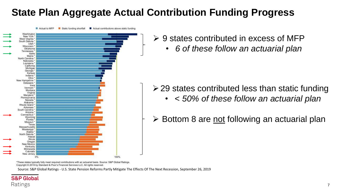## **State Plan Aggregate Actual Contribution Funding Progress**



- ➢ 9 states contributed in excess of MFP
	- *6 of these follow an actuarial plan*

➢29 states contributed less than static funding

• *< 50% of these follow an actuarial plan*

➢ Bottom 8 are not following an actuarial plan

\*These states typically fully meet required contributions with an actuarial basis. Source: S&P Global Ratings. Copyright @ 2019 by Standard & Poor's Financial Services LLC. All rights reserved.

Source: S&P Global Ratings - U.S. State Pension Reforms Partly Mitigate The Effects Of The Next Recession, September 26, 2019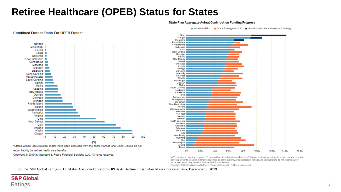#### **Retiree Healthcare (OPEB) Status for States**



Combined Funded Ratio For OPEB Funds\*

\*States without accumulated assets have been excluded from the chart. Kansas and South Dakota do not report liability for retiree health care benefits.

Copyright @ 2019 by Standard & Poor's Financial Services LLC. All rights reserved.





MFP-Minimum funding progress. \*For plans that did not disclose schedule of changes to fiduciary net position, we typically counted benefit payments less administrative expenses as contributions, when disclosed. Kansas and South Dakota do not report liability for retiree health care benefits. Source: S&P Global Ratings.

Copyright @ 2019 by Standard & Poor's Financial Services LLC. All rights reserved.

Source: S&P Global Ratings - U.S. States Are Slow To Reform OPEBs As Decline In Liabilities Masks Increased Risk, December 3, 2019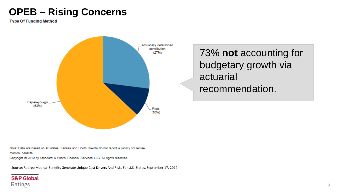### **OPEB – Rising Concerns**

**Type Of Funding Method** 



73% **not** accounting for budgetary growth via actuarial recommendation.

Note: Data are based on 48 states; Kansas and South Dakota do not report a liability for retiree medical benefits.

Copyright @ 2019 by Standard & Poor's Financial Services LLC. All rights reserved.

Source: Retiree Medical Benefits Generate Unique Cost Drivers And Risks For U.S. States, September 17, 2019